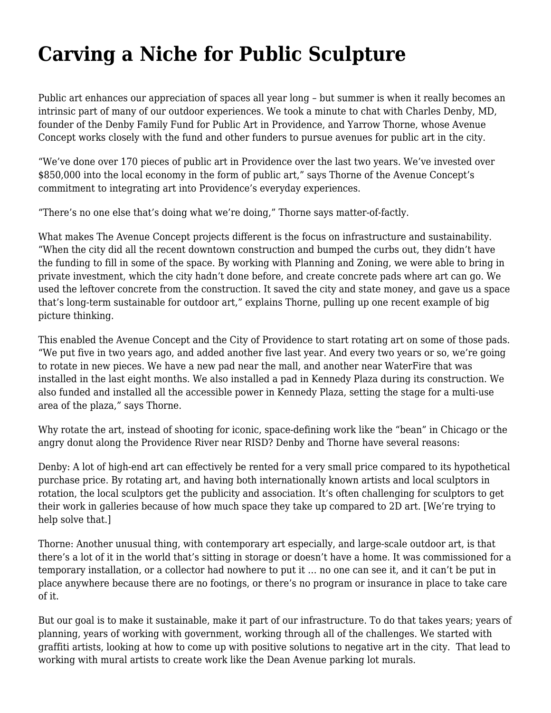## **[Carving a Niche for Public Sculpture](https://motifri.com/carving-a-niche-for-public-sculpture/)**

Public art enhances our appreciation of spaces all year long – but summer is when it really becomes an intrinsic part of many of our outdoor experiences. We took a minute to chat with Charles Denby, MD, founder of the Denby Family Fund for Public Art in Providence, and Yarrow Thorne, whose Avenue Concept works closely with the fund and other funders to pursue avenues for public art in the city.

"We've done over 170 pieces of public art in Providence over the last two years. We've invested over \$850,000 into the local economy in the form of public art," says Thorne of the Avenue Concept's commitment to integrating art into Providence's everyday experiences.

"There's no one else that's doing what we're doing," Thorne says matter-of-factly.

What makes The Avenue Concept projects different is the focus on infrastructure and sustainability. "When the city did all the recent downtown construction and bumped the curbs out, they didn't have the funding to fill in some of the space. By working with Planning and Zoning, we were able to bring in private investment, which the city hadn't done before, and create concrete pads where art can go. We used the leftover concrete from the construction. It saved the city and state money, and gave us a space that's long-term sustainable for outdoor art," explains Thorne, pulling up one recent example of big picture thinking.

This enabled the Avenue Concept and the City of Providence to start rotating art on some of those pads. "We put five in two years ago, and added another five last year. And every two years or so, we're going to rotate in new pieces. We have a new pad near the mall, and another near WaterFire that was installed in the last eight months. We also installed a pad in Kennedy Plaza during its construction. We also funded and installed all the accessible power in Kennedy Plaza, setting the stage for a multi-use area of the plaza," says Thorne.

Why rotate the art, instead of shooting for iconic, space-defining work like the "bean" in Chicago or the angry donut along the Providence River near RISD? Denby and Thorne have several reasons:

Denby: A lot of high-end art can effectively be rented for a very small price compared to its hypothetical purchase price. By rotating art, and having both internationally known artists and local sculptors in rotation, the local sculptors get the publicity and association. It's often challenging for sculptors to get their work in galleries because of how much space they take up compared to 2D art. [We're trying to help solve that.]

Thorne: Another unusual thing, with contemporary art especially, and large-scale outdoor art, is that there's a lot of it in the world that's sitting in storage or doesn't have a home. It was commissioned for a temporary installation, or a collector had nowhere to put it … no one can see it, and it can't be put in place anywhere because there are no footings, or there's no program or insurance in place to take care of it.

But our goal is to make it sustainable, make it part of our infrastructure. To do that takes years; years of planning, years of working with government, working through all of the challenges. We started with graffiti artists, looking at how to come up with positive solutions to negative art in the city. That lead to working with mural artists to create work like the Dean Avenue parking lot murals.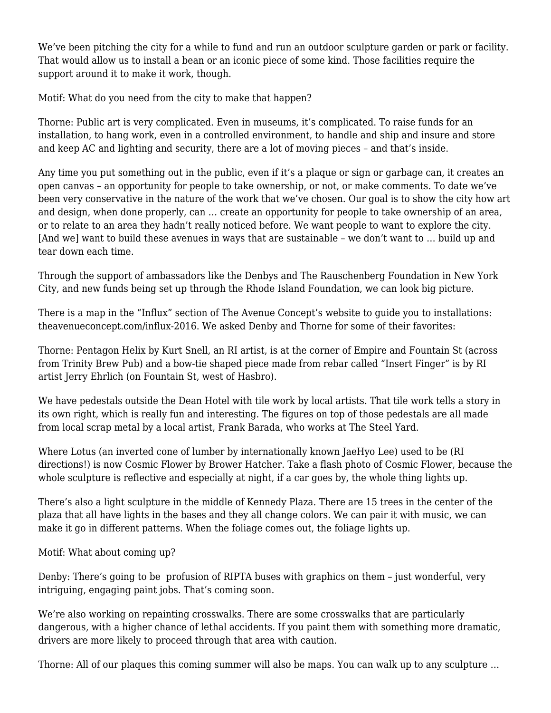We've been pitching the city for a while to fund and run an outdoor sculpture garden or park or facility. That would allow us to install a bean or an iconic piece of some kind. Those facilities require the support around it to make it work, though.

Motif: What do you need from the city to make that happen?

Thorne: Public art is very complicated. Even in museums, it's complicated. To raise funds for an installation, to hang work, even in a controlled environment, to handle and ship and insure and store and keep AC and lighting and security, there are a lot of moving pieces – and that's inside.

Any time you put something out in the public, even if it's a plaque or sign or garbage can, it creates an open canvas – an opportunity for people to take ownership, or not, or make comments. To date we've been very conservative in the nature of the work that we've chosen. Our goal is to show the city how art and design, when done properly, can … create an opportunity for people to take ownership of an area, or to relate to an area they hadn't really noticed before. We want people to want to explore the city. [And we] want to build these avenues in ways that are sustainable – we don't want to … build up and tear down each time.

Through the support of ambassadors like the Denbys and The Rauschenberg Foundation in New York City, and new funds being set up through the Rhode Island Foundation, we can look big picture.

There is a map in the "Influx" section of The Avenue Concept's website to guide you to installations: [theavenueconcept.com/influx-2016](http://theavenueconcept.com/influx-2016). We asked Denby and Thorne for some of their favorites:

Thorne: Pentagon Helix by Kurt Snell, an RI artist, is at the corner of Empire and Fountain St (across from Trinity Brew Pub) and a bow-tie shaped piece made from rebar called "Insert Finger" is by RI artist Jerry Ehrlich (on Fountain St, west of Hasbro).

We have pedestals outside the Dean Hotel with tile work by local artists. That tile work tells a story in its own right, which is really fun and interesting. The figures on top of those pedestals are all made from local scrap metal by a local artist, Frank Barada, who works at The Steel Yard.

Where Lotus (an inverted cone of lumber by internationally known JaeHyo Lee) used to be (RI directions!) is now Cosmic Flower by Brower Hatcher. Take a flash photo of Cosmic Flower, because the whole sculpture is reflective and especially at night, if a car goes by, the whole thing lights up.

There's also a light sculpture in the middle of Kennedy Plaza. There are 15 trees in the center of the plaza that all have lights in the bases and they all change colors. We can pair it with music, we can make it go in different patterns. When the foliage comes out, the foliage lights up.

Motif: What about coming up?

Denby: There's going to be profusion of RIPTA buses with graphics on them – just wonderful, very intriguing, engaging paint jobs. That's coming soon.

We're also working on repainting crosswalks. There are some crosswalks that are particularly dangerous, with a higher chance of lethal accidents. If you paint them with something more dramatic, drivers are more likely to proceed through that area with caution.

Thorne: All of our plaques this coming summer will also be maps. You can walk up to any sculpture …